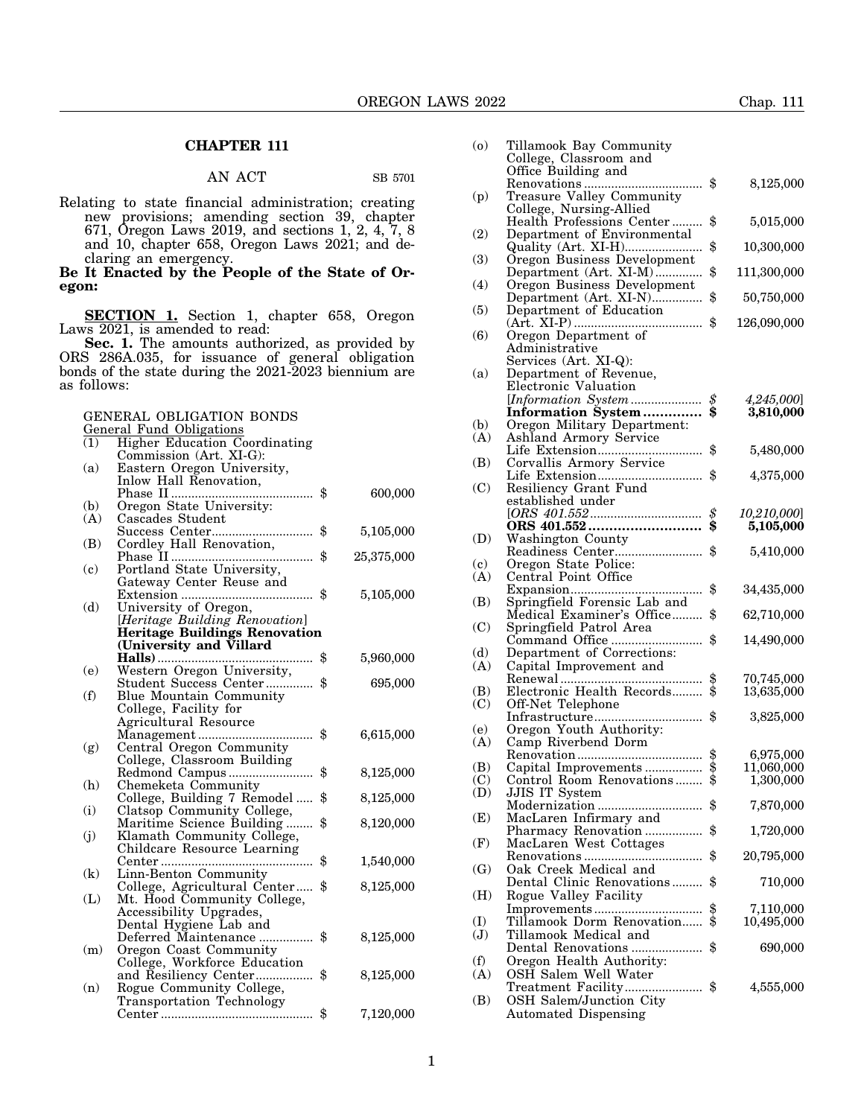## **CHAPTER 111**

## AN ACT SB 5701

Relating to state financial administration; creating new provisions; amending section 39, chapter 671, Oregon Laws 2019, and sections 1, 2, 4, 7, 8 and 10, chapter 658, Oregon Laws 2021; and declaring an emergency.

**Be It Enacted by the People of the State of Oregon:**

**SECTION 1.** Section 1, chapter 658, Oregon Laws 2021, is amended to read:

**Sec. 1.** The amounts authorized, as provided by ORS 286A.035, for issuance of general obligation bonds of the state during the 2021-2023 biennium are as follows:

GENERAL OBLIGATION BONDS

General Fund Obligations

| (1) | Higher Education Coordinating        |                  |
|-----|--------------------------------------|------------------|
|     | Commission (Art. XI-G):              |                  |
| (a) | Eastern Oregon University,           |                  |
|     | Inlow Hall Renovation,               |                  |
|     | .                                    | \$<br>600,000    |
| (b) | Oregon State University:             |                  |
| (A) | Cascades Student                     |                  |
|     |                                      | \$<br>5,105,000  |
| (B) | Cordley Hall Renovation,             |                  |
|     |                                      | \$<br>25,375,000 |
| (c) | Portland State University,           |                  |
|     | Gateway Center Reuse and             |                  |
|     |                                      | \$<br>5,105,000  |
| (d) | University of Oregon,                |                  |
|     | [Heritage Building Renovation]       |                  |
|     | <b>Heritage Buildings Renovation</b> |                  |
|     | (University and Villard              |                  |
|     |                                      | \$<br>5,960,000  |
| (e) | Western Oregon University,           |                  |
|     | Student Success Center               | \$<br>695,000    |
| (f) | Blue Mountain Community              |                  |
|     | College, Facility for                |                  |
|     | Agricultural Resource                |                  |
|     |                                      | \$<br>6,615,000  |
| (g) | Central Oregon Community             |                  |
|     | College, Classroom Building          |                  |
|     | Redmond Campus                       | \$<br>8,125,000  |
| (h) | Chemeketa Community                  |                  |
|     | College, Building 7 Remodel          | \$<br>8,125,000  |
| (i) | Clatsop Community College,           |                  |
|     | Maritime Science Building            | \$<br>8,120,000  |
| (j) | Klamath Community College,           |                  |
|     | Childcare Resource Learning          |                  |
|     |                                      | \$<br>1,540,000  |
| (k) | Linn-Benton Community                |                  |
|     | College, Agricultural Center         | \$<br>8,125,000  |
| (L) | Mt. Hood Community College,          |                  |
|     | Accessibility Upgrades,              |                  |
|     | Dental Hygiene Lab and               |                  |
|     | Deferred Maintenance                 | \$<br>8,125,000  |
| (m) | Oregon Coast Community               |                  |
|     | College, Workforce Education         |                  |
|     | and Resiliency Center                | \$<br>8,125,000  |
| (n) | Rogue Community College,             |                  |
|     | Transportation Technology            |                  |
|     |                                      | \$<br>7,120,000  |

| $\left( 0 \right)$                | Tillamook Bay Community                               |          |                          |
|-----------------------------------|-------------------------------------------------------|----------|--------------------------|
|                                   | College, Classroom and                                |          |                          |
|                                   | Office Building and                                   |          | 8,125,000                |
| (p)                               | Treasure Valley Community                             |          |                          |
|                                   | College, Nursing-Allied<br>Health Professions Center  | \$       | 5,015,000                |
| (2)                               | Department of Environmental                           |          |                          |
| (3)                               | Quality (Art. XI-H)<br>Oregon Business Development    | \$       | 10,300,000               |
|                                   | Department (Art. XI-M)                                | \$       | 111,300,000              |
| (4)                               | Oregon Business Development<br>Department (Art. XI-N) | \$       | 50,750,000               |
| (5)                               | Department of Education                               |          |                          |
| (6)                               |                                                       | \$       | 126,090,000              |
|                                   | Administrative                                        |          |                          |
| (a)                               | Services (Art. XI-Q):<br>Department of Revenue,       |          |                          |
|                                   | Electronic Valuation                                  |          |                          |
|                                   |                                                       | \$<br>Ś. | 4,245,000]               |
| (b)                               | Information System<br>Oregon Military Department:     |          | 3,810,000                |
| (A)                               | Ashland Armory Service                                |          |                          |
|                                   |                                                       | \$       | 5,480,000                |
| (B)                               | Corvallis Armory Service                              | \$       | 4,375,000                |
| (C)                               | Resiliency Grant Fund                                 |          |                          |
|                                   | established under                                     |          |                          |
|                                   |                                                       | \$<br>\$ | 10,210,000]<br>5,105,000 |
| (D)                               | Washington County                                     |          |                          |
|                                   |                                                       | \$       | 5,410,000                |
| $\left( \mathbf{c}\right)$<br>(A) | Oregon State Police:<br>Central Point Office          |          |                          |
|                                   |                                                       | \$       | 34,435,000               |
| (B)                               | Springfield Forensic Lab and                          |          |                          |
| (C)                               | Medical Examiner's Office<br>Springfield Patrol Area  | \$       | 62,710,000               |
|                                   | Command Office                                        | \$       | 14,490,000               |
| (d)<br>(A)                        | Department of Corrections:<br>Capital Improvement and |          |                          |
|                                   |                                                       | \$<br>\$ | 70,745,000               |
| (B)                               | Electronic Health Records                             |          | 13,635,000               |
| (C)                               | Off-Net Telephone<br>.<br>Infrastructure              | \$       | 3,825,000                |
| (e)                               | Oregon Youth Authority:                               |          |                          |
| (A)                               | Camp Riverbend Dorm                                   |          |                          |
| (B)                               | Capital Improvements                                  | \$<br>\$ | 6,975,000<br>11,060,000  |
| (C)                               | Control Room Renovations                              |          | 1,300,000                |
| (D)                               | JJIS IT System                                        |          |                          |
| (E)                               | Modernization<br>MacLaren Infirmary and               | \$       | 7,870,000                |
|                                   | Pharmacy Renovation                                   | \$       | 1,720,000                |
| (F)                               | MacLaren West Cottages                                |          |                          |
| $\left( G\right)$                 | Oak Creek Medical and                                 | \$       | 20,795,000               |
|                                   | Dental Clinic Renovations                             | \$       | 710,000                  |
| (H)                               | Rogue Valley Facility                                 |          |                          |
| (I)                               | Tillamook Dorm Renovation                             | \$<br>\$ | 7,110,000<br>10,495,000  |
| $(\mathbf{J})$                    | Tillamook Medical and                                 |          |                          |
|                                   | Dental Renovations                                    | \$       | 690,000                  |
| (f)<br>(A)                        | Oregon Health Authority:                              |          |                          |
|                                   | OSH Salem Well Water<br>Treatment Facility            | \$       | 4,555,000                |
| (B)                               | OSH Salem/Junction City                               |          |                          |
|                                   | <b>Automated Dispensing</b>                           |          |                          |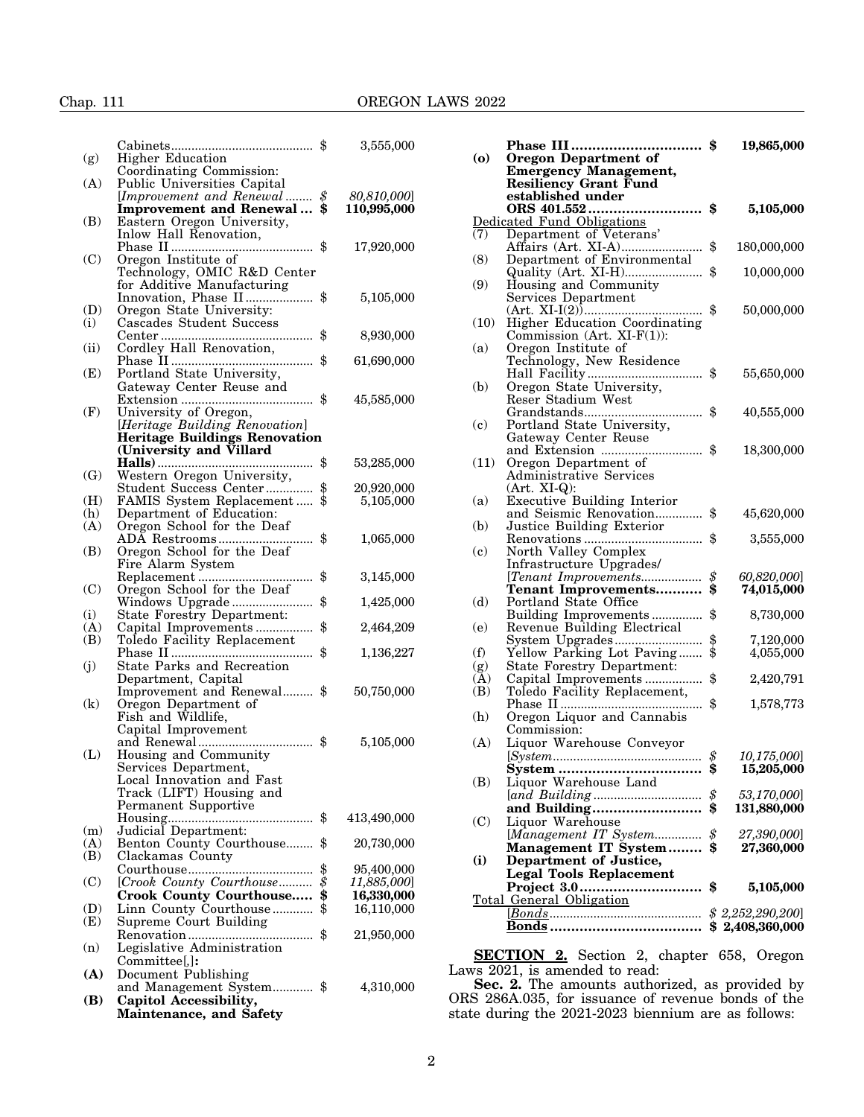# Chap. 111 OREGON LAWS 2022

|          |                                                 | \$       | 3,555,000   |
|----------|-------------------------------------------------|----------|-------------|
| (g)      | <b>Higher Education</b>                         |          |             |
|          | Coordinating Commission:                        |          |             |
| (A)      | Public Universities Capital                     |          |             |
|          | [Improvement and Renewal                        | \$       | 80,810,000] |
|          | <b>Improvement and Renewal</b>                  | \$       | 110,995,000 |
| (B)      | Eastern Oregon University,                      |          |             |
|          | Inlow Hall Renovation,                          |          |             |
|          |                                                 | \$       | 17,920,000  |
| (C)      | Oregon Institute of                             |          |             |
|          | Technology, OMIC R&D Center                     |          |             |
|          | for Additive Manufacturing                      |          |             |
|          | Innovation, Phase II                            | \$       | 5,105,000   |
| (D)      | Oregon State University:                        |          |             |
| (i)      | Cascades Student Success                        |          |             |
|          |                                                 | \$       | 8,930,000   |
| (ii)     | Cordley Hall Renovation,                        |          |             |
|          |                                                 | \$       | 61,690,000  |
| (E)      | Portland State University,                      |          |             |
|          | Gateway Center Reuse and                        | \$       | 45,585,000  |
| (F)      | University of Oregon,                           |          |             |
|          | [Heritage Building Renovation]                  |          |             |
|          | <b>Heritage Buildings Renovation</b>            |          |             |
|          | (University and Villard)                        |          |             |
|          |                                                 | \$       | 53,285,000  |
| (G)      | Western Oregon University,                      |          |             |
|          | Student Success Center                          | \$       | 20,920,000  |
| (H)      | FAMIS System Replacement                        | \$       | 5,105,000   |
| (h)      | Department of Education:                        |          |             |
| (A)      | Oregon School for the Deaf                      |          |             |
|          | ADA Restrooms<br>.                              | \$       | 1,065,000   |
| (B)      | Oregon School for the Deaf                      |          |             |
|          | Fire Alarm System                               |          |             |
|          |                                                 | \$       | 3,145,000   |
| (C)      | Oregon School for the Deaf                      |          |             |
|          | Windows Upgrade                                 | \$       | 1,425,000   |
| (i)      | <b>State Forestry Department:</b>               |          |             |
| (A)      | Capital Improvements                            | \$       | 2,464,209   |
| (B)      | Toledo Facility Replacement                     |          |             |
|          | .<br>State Parks and Recreation                 | \$       | 1,136,227   |
| (j)      |                                                 |          |             |
|          | Department, Capital                             | \$       |             |
| $\rm(k)$ | Improvement and Renewal<br>Oregon Department of |          | 50,750,000  |
|          | Fish and Wildlife,                              |          |             |
|          | Capital Improvement                             |          |             |
|          |                                                 | \$       | 5,105,000   |
| (L)      | Housing and Community                           |          |             |
|          | Services Department,                            |          |             |
|          | Local Innovation and Fast                       |          |             |
|          | Track (LIFT) Housing and                        |          |             |
|          | Permanent Supportive                            |          |             |
|          |                                                 | \$       | 413,490,000 |
| (m)      | Judicial Department:                            |          |             |
| (A)      | Benton County Courthouse                        | \$       | 20,730,000  |
| (B)      | Clackamas County                                |          |             |
|          |                                                 | \$       | 95,400,000  |
| (C)      | [Crook County Courthouse                        | \$       | 11,885,000] |
|          | Crook County Courthouse                         | \$<br>\$ | 16,330,000  |
| (D)      | Linn County Courthouse                          |          | 16,110,000  |
| (E)      | Supreme Court Building                          |          |             |
|          | Renovation<br>.                                 | \$       | 21,950,000  |
| (n)      | Legislative Administration                      |          |             |
|          | Committee[,]:                                   |          |             |
| (A)      | Document Publishing                             |          |             |
|          | and Management System \$                        |          | 4,310,000   |
| (B)      | Capitol Accessibility,                          |          |             |
|          | <b>Maintenance, and Safety</b>                  |          |             |

| (o)                        | <b>Phase III</b><br>.<br><b>Oregon Department of</b><br><b>Emergency Management,</b><br>Resiliency Grant Fund<br>established under | \$<br>19,865,000  |
|----------------------------|------------------------------------------------------------------------------------------------------------------------------------|-------------------|
|                            | Dedicated Fund Obligations                                                                                                         | \$<br>5,105,000   |
| (7)                        | Department of Veterans'                                                                                                            |                   |
|                            |                                                                                                                                    | \$<br>180,000,000 |
| (8)                        | Department of Environmental                                                                                                        |                   |
| (9)                        | Housing and Community                                                                                                              | \$<br>10,000,000  |
|                            | Services Department                                                                                                                | \$<br>50,000,000  |
| (10)                       | <b>Higher Education Coordinating</b><br>Commission (Art. XI-F(1)):                                                                 |                   |
| (a)                        | Oregon Institute of                                                                                                                |                   |
|                            | Technology, New Residence                                                                                                          |                   |
|                            |                                                                                                                                    | 55,650,000        |
| (b)                        | Oregon State University,                                                                                                           |                   |
|                            | Reser Stadium West                                                                                                                 |                   |
|                            |                                                                                                                                    | \$<br>40,555,000  |
| $\left( \mathbf{c}\right)$ | Portland State University,                                                                                                         |                   |
|                            | Gateway Center Reuse                                                                                                               |                   |
|                            | and Extension  \$                                                                                                                  | 18,300,000        |
| (11)                       | Oregon Department of<br>Administrative Services                                                                                    |                   |
|                            | $(Art. XI-Q):$                                                                                                                     |                   |
| (a)                        | <b>Executive Building Interior</b>                                                                                                 |                   |
|                            | and Seismic Renovation                                                                                                             | \$<br>45,620,000  |
| (b)                        | Justice Building Exterior                                                                                                          |                   |
|                            |                                                                                                                                    | \$<br>3,555,000   |
| $\left( \mathbf{c}\right)$ | North Valley Complex                                                                                                               |                   |
|                            | Infrastructure Upgrades/                                                                                                           |                   |
|                            | [Tenant Improvements                                                                                                               | \$<br>60,820,000] |
|                            | Tenant Improvements                                                                                                                | 74,015,000        |
| (d)                        | Portland State Office                                                                                                              |                   |
|                            | Building Improvements                                                                                                              | \$<br>8,730,000   |
| (e)                        | Revenue Building Electrical                                                                                                        |                   |
|                            |                                                                                                                                    | \$<br>7,120,000   |
| (f)                        | Yellow Parking Lot Paving                                                                                                          | 4,055,000         |
| (g)                        | <b>State Forestry Department:</b>                                                                                                  |                   |
| (A)                        | Capital Improvements                                                                                                               | \$<br>2,420,791   |
| (B)                        | Toledo Facility Replacement,                                                                                                       | \$                |
| (h)                        | .<br>Oregon Liquor and Cannabis                                                                                                    | 1,578,773         |
|                            | Commission:                                                                                                                        |                   |
| (A)                        | Liquor Warehouse Conveyor                                                                                                          |                   |
|                            |                                                                                                                                    | 10,175,000]       |
|                            | <b>System </b>                                                                                                                     | 15,205,000        |
| (B)                        | Liquor Warehouse Land                                                                                                              |                   |
|                            |                                                                                                                                    | \$<br>53,170,000] |
|                            | and Building                                                                                                                       | \$<br>131,880,000 |
| (C)                        | Liquor Warehouse                                                                                                                   |                   |
|                            | [Management IT System                                                                                                              | \$<br>27,390,000] |
|                            | Management IT System                                                                                                               | \$<br>27,360,000  |
| $\bf(i)$                   | <b>Department of Justice,</b>                                                                                                      |                   |
|                            | <b>Legal Tools Replacement</b>                                                                                                     |                   |
|                            |                                                                                                                                    | \$<br>5,105,000   |
|                            | Total General Obligation                                                                                                           |                   |
|                            |                                                                                                                                    | \$2,252,290,200]  |
|                            |                                                                                                                                    | \$2,408,360,000   |

**SECTION 2.** Section 2, chapter 658, Oregon Laws 2021, is amended to read:

**Sec. 2.** The amounts authorized, as provided by ORS 286A.035, for issuance of revenue bonds of the state during the 2021-2023 biennium are as follows: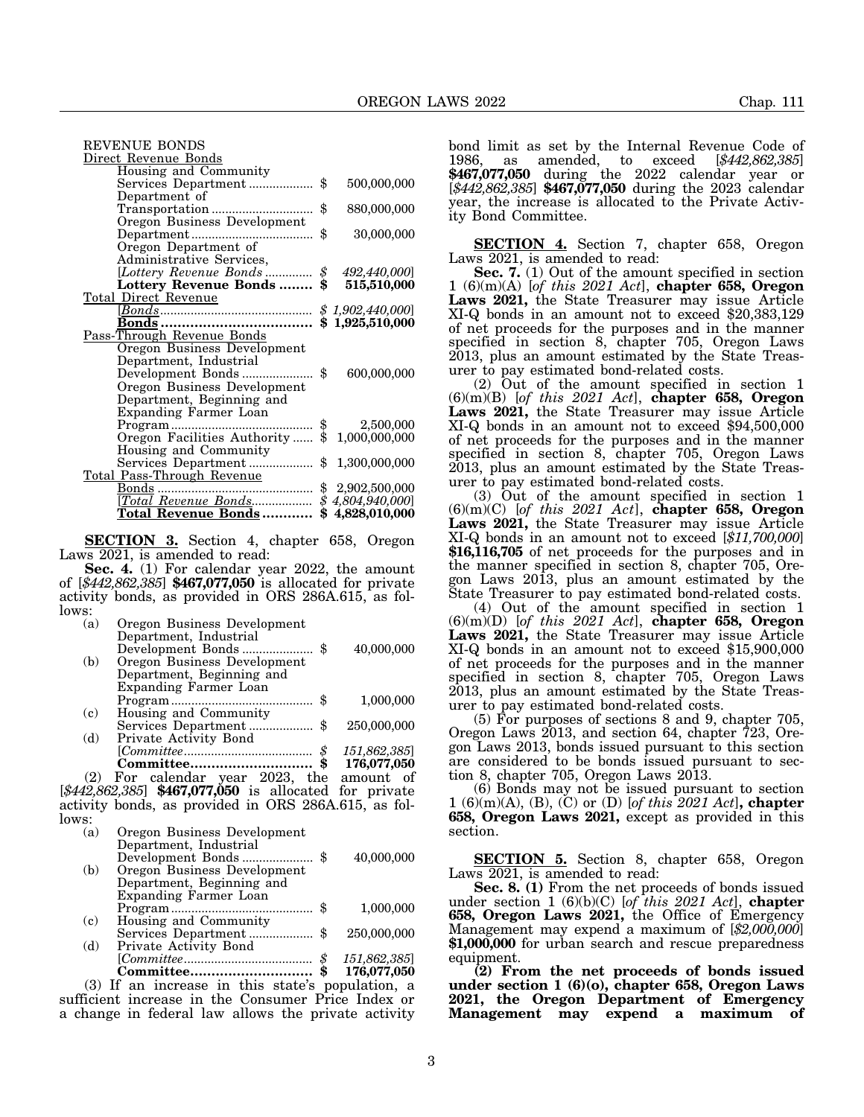| REVENUE BONDS                           |                     |
|-----------------------------------------|---------------------|
| Direct Revenue Bonds                    |                     |
| Housing and Community                   |                     |
| Services Department \$                  | 500,000,000         |
| Department of                           |                     |
|                                         | \$<br>880,000,000   |
| Oregon Business Development             |                     |
|                                         | \$<br>30,000,000    |
| Oregon Department of                    |                     |
| Administrative Services,                |                     |
| [Lottery Revenue Bonds  \$ 492,440,000] |                     |
| Lottery Revenue Bonds  \$ 515,510,000   |                     |
| Total Direct Revenue                    |                     |
|                                         |                     |
|                                         |                     |
| Pass-Through Revenue Bonds              |                     |
| <b>Oregon Business Development</b>      |                     |
| Department, Industrial                  |                     |
| Development Bonds \$                    | 600,000,000         |
| Oregon Business Development             |                     |
| Department, Beginning and               |                     |
| Expanding Farmer Loan                   |                     |
|                                         |                     |
|                                         |                     |
| Housing and Community                   |                     |
| Services Department  \$ 1,300,000,000   |                     |
| Total Pass-Through Revenue              |                     |
| Bonds                                   |                     |
|                                         |                     |
| <u>Total Revenue Bonds</u>              | \$<br>4,828,010,000 |

**SECTION 3.** Section 4, chapter 658, Oregon Laws 2021, is amended to read:

**Sec. 4.** (1) For calendar year 2022, the amount of [*\$442,862,385*] **\$467,077,050** is allocated for private activity bonds, as provided in ORS 286A.615, as follows:

| (a)   | Oregon Business Development                              |             |
|-------|----------------------------------------------------------|-------------|
|       | Department, Industrial                                   |             |
|       |                                                          | 40,000,000  |
| (b)   | Oregon Business Development                              |             |
|       | Department, Beginning and                                |             |
|       | Expanding Farmer Loan                                    |             |
|       | S                                                        | 1,000,000   |
| (c)   | Housing and Community                                    |             |
|       |                                                          | 250,000,000 |
| (d)   | Private Activity Bond                                    |             |
|       | \$                                                       | 151,862,385 |
|       |                                                          | 176,077,050 |
|       | $(2)$ For calendar year 2023, the                        | amount of   |
|       | $[\$442,862,385]$ \$467,077,050 is allocated for private |             |
|       | activity bonds, as provided in ORS 286A.615, as fol-     |             |
| lows: |                                                          |             |

| (a) | Oregon Business Development                      |               |              |
|-----|--------------------------------------------------|---------------|--------------|
|     | Department, Industrial                           |               |              |
|     |                                                  |               | 40,000,000   |
| (b) | Oregon Business Development                      |               |              |
|     | Department, Beginning and                        |               |              |
|     | Expanding Farmer Loan                            |               |              |
|     |                                                  |               | 1,000,000    |
| (c) | Housing and Community                            |               |              |
|     | Services Department                              |               | 250,000,000  |
| (d) | Private Activity Bond                            |               |              |
|     |                                                  | $\mathcal{S}$ | 151,862,385] |
|     |                                                  |               | 176,077,050  |
|     | (3) If an increase in this state's population, a |               |              |
|     | figiont ingresses in the Consumer Drive Index or |               |              |

sufficient increase in the Consumer Price Index or a change in federal law allows the private activity

bond limit as set by the Internal Revenue Code of 1986, as amended, to exceed [*\$442,862,385*] **\$467,077,050** during the 2022 calendar year or [*\$442,862,385*] **\$467,077,050** during the 2023 calendar year, the increase is allocated to the Private Activity Bond Committee.

**SECTION 4.** Section 7, chapter 658, Oregon Laws 2021, is amended to read:

**Sec. 7.** (1) Out of the amount specified in section 1 (6)(m)(A) [*of this 2021 Act*], **chapter 658, Oregon Laws 2021,** the State Treasurer may issue Article XI-Q bonds in an amount not to exceed \$20,383,129 of net proceeds for the purposes and in the manner specified in section 8, chapter 705, Oregon Laws 2013, plus an amount estimated by the State Treasurer to pay estimated bond-related costs.

(2) Out of the amount specified in section 1 (6)(m)(B) [*of this 2021 Act*], **chapter 658, Oregon** XI-Q bonds in an amount not to exceed \$94,500,000 of net proceeds for the purposes and in the manner specified in section 8, chapter 705, Oregon Laws 2013, plus an amount estimated by the State Treasurer to pay estimated bond-related costs.

(3) Out of the amount specified in section 1 (6)(m)(C) [*of this 2021 Act*], **chapter 658, Oregon Laws 2021,** the State Treasurer may issue Article XI-Q bonds in an amount not to exceed [*\$11,700,000*] **\$16,116,705** of net proceeds for the purposes and in the manner specified in section 8, chapter 705, Oregon Laws 2013, plus an amount estimated by the State Treasurer to pay estimated bond-related costs.

(4) Out of the amount specified in section 1 (6)(m)(D) [*of this 2021 Act*], **chapter 658, Oregon Laws 2021,** the State Treasurer may issue Article XI-Q bonds in an amount not to exceed \$15,900,000 of net proceeds for the purposes and in the manner specified in section 8, chapter 705, Oregon Laws 2013, plus an amount estimated by the State Treasurer to pay estimated bond-related costs.

(5) For purposes of sections 8 and 9, chapter 705, Oregon Laws 2013, and section 64, chapter 723, Oregon Laws 2013, bonds issued pursuant to this section are considered to be bonds issued pursuant to section 8, chapter 705, Oregon Laws 2013.

(6) Bonds may not be issued pursuant to section 1 (6)(m)(A), (B), (C) or (D) [*of this 2021 Act*]**, chapter 658, Oregon Laws 2021,** except as provided in this section.

**SECTION 5.** Section 8, chapter 658, Oregon Laws 2021, is amended to read:

**Sec. 8. (1)** From the net proceeds of bonds issued under section 1 (6)(b)(C) [*of this 2021 Act*], **chapter 658, Oregon Laws 2021,** the Office of Emergency Management may expend a maximum of [*\$2,000,000*] **\$1,000,000** for urban search and rescue preparedness equipment.

**(2) From the net proceeds of bonds issued under section 1 (6)(o), chapter 658, Oregon Laws 2021, the Oregon Department of Emergency Management may expend a maximum of**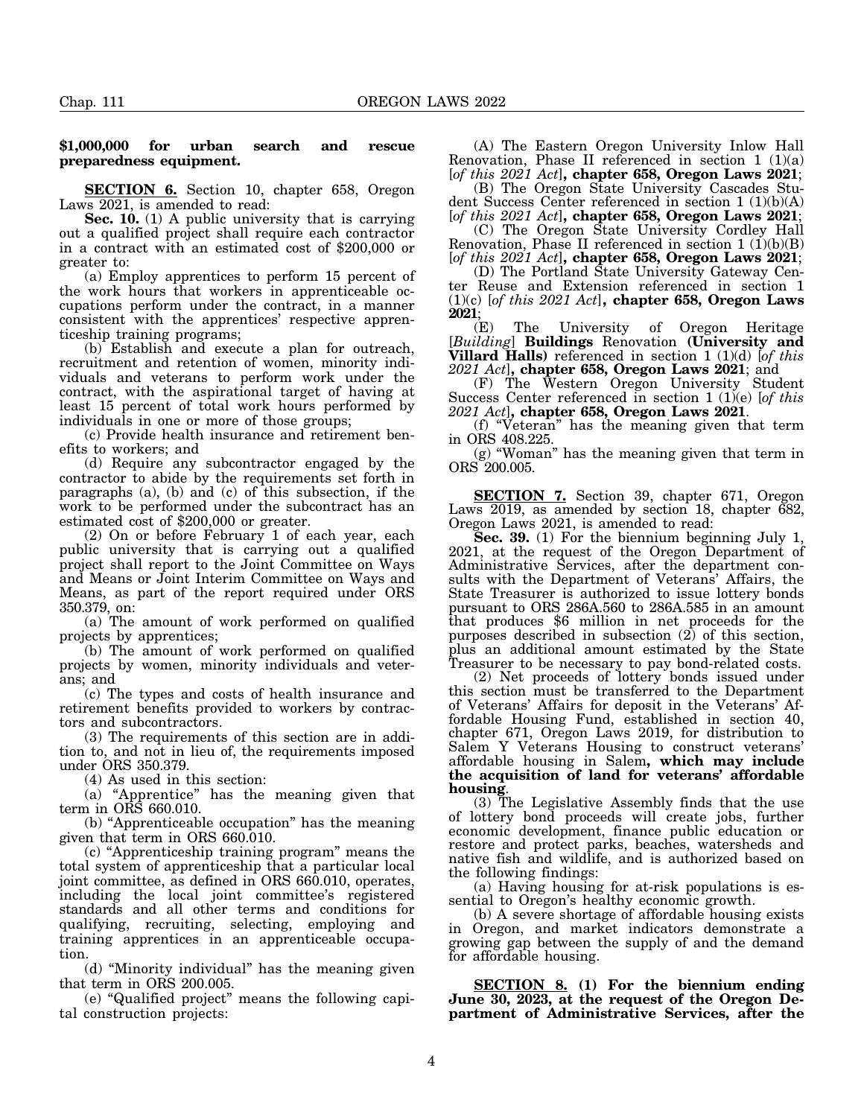### **\$1,000,000 for urban search and rescue preparedness equipment.**

**SECTION 6.** Section 10, chapter 658, Oregon Laws 2021, is amended to read:

**Sec. 10.** (1) A public university that is carrying out a qualified project shall require each contractor in a contract with an estimated cost of \$200,000 or greater to:

(a) Employ apprentices to perform 15 percent of the work hours that workers in apprenticeable occupations perform under the contract, in a manner consistent with the apprentices' respective apprenticeship training programs;

(b) Establish and execute a plan for outreach, recruitment and retention of women, minority individuals and veterans to perform work under the contract, with the aspirational target of having at least 15 percent of total work hours performed by individuals in one or more of those groups;

(c) Provide health insurance and retirement benefits to workers; and

(d) Require any subcontractor engaged by the contractor to abide by the requirements set forth in paragraphs (a), (b) and (c) of this subsection, if the work to be performed under the subcontract has an estimated cost of \$200,000 or greater.

(2) On or before February 1 of each year, each public university that is carrying out a qualified project shall report to the Joint Committee on Ways and Means or Joint Interim Committee on Ways and Means, as part of the report required under ORS 350.379, on:

(a) The amount of work performed on qualified projects by apprentices;

(b) The amount of work performed on qualified projects by women, minority individuals and veterans; and

(c) The types and costs of health insurance and retirement benefits provided to workers by contractors and subcontractors.

(3) The requirements of this section are in addition to, and not in lieu of, the requirements imposed under ORS 350.379.

(4) As used in this section:

(a) "Apprentice" has the meaning given that term in ORS 660.010.

(b) "Apprenticeable occupation" has the meaning given that term in ORS 660.010.

(c) "Apprenticeship training program" means the total system of apprenticeship that a particular local joint committee, as defined in ORS 660.010, operates, including the local joint committee's registered standards and all other terms and conditions for qualifying, recruiting, selecting, employing and training apprentices in an apprenticeable occupation.

(d) "Minority individual" has the meaning given that term in ORS 200.005.

(e) "Qualified project" means the following capital construction projects:

(A) The Eastern Oregon University Inlow Hall Renovation, Phase II referenced in section  $1 \frac{1}{2}$ [*of this 2021 Act*]**, chapter 658, Oregon Laws 2021**;

(B) The Oregon State University Cascades Student Success Center referenced in section 1 (1)(b)(A) [*of this 2021 Act*]**, chapter 658, Oregon Laws 2021**;

(C) The Oregon State University Cordley Hall Renovation, Phase II referenced in section  $1 \cdot (1)(b)(B)$ [*of this 2021 Act*]**, chapter 658, Oregon Laws 2021**;

(D) The Portland State University Gateway Center Reuse and Extension referenced in section 1 (1)(c) [*of this 2021 Act*]**, chapter 658, Oregon Laws**

**2021**; The University of Oregon Heritage [*Building*] **Buildings** Renovation **(University and Villard Halls)** referenced in section 1 (1)(d) [*of this 2021 Act*]**, chapter 658, Oregon Laws 2021**; and

(F) The Western Oregon University Student Success Center referenced in section 1 (1)(e) [*of this*

*2021 Act*]**, chapter 658, Oregon Laws 2021**. (f) "Veteran" has the meaning given that term in ORS 408.225.

(g) "Woman" has the meaning given that term in ORS 200.005.

**SECTION 7.** Section 39, chapter 671, Oregon Laws 2019, as amended by section 18, chapter 682, Oregon Laws 2021, is amended to read:

**Sec. 39.** (1) For the biennium beginning July 1, 2021, at the request of the Oregon Department of Administrative Services, after the department consults with the Department of Veterans' Affairs, the State Treasurer is authorized to issue lottery bonds pursuant to ORS 286A.560 to 286A.585 in an amount that produces \$6 million in net proceeds for the purposes described in subsection  $(2)$  of this section, plus an additional amount estimated by the State Treasurer to be necessary to pay bond-related costs.

(2) Net proceeds of lottery bonds issued under this section must be transferred to the Department of Veterans' Affairs for deposit in the Veterans' Affordable Housing Fund, established in section 40, chapter 671, Oregon Laws 2019, for distribution to Salem Y Veterans Housing to construct veterans' affordable housing in Salem**, which may include the acquisition of land for veterans' affordable**

(3) The Legislative Assembly finds that the use of lottery bond proceeds will create jobs, further economic development, finance public education or restore and protect parks, beaches, watersheds and native fish and wildlife, and is authorized based on the following findings:

(a) Having housing for at-risk populations is essential to Oregon's healthy economic growth.

(b) A severe shortage of affordable housing exists in Oregon, and market indicators demonstrate a growing gap between the supply of and the demand for affordable housing.

**SECTION 8. (1) For the biennium ending June 30, 2023, at the request of the Oregon Department of Administrative Services, after the**